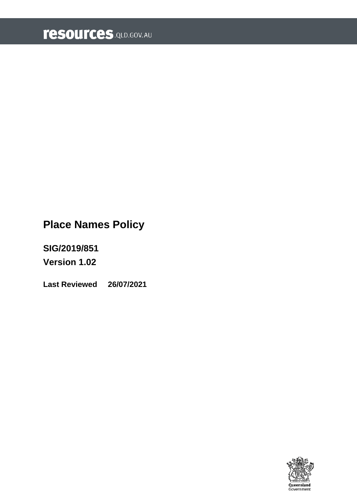# **Place Names Policy**

**SIG/2019/851**

**Version 1.02**

**Last Reviewed 26/07/2021**

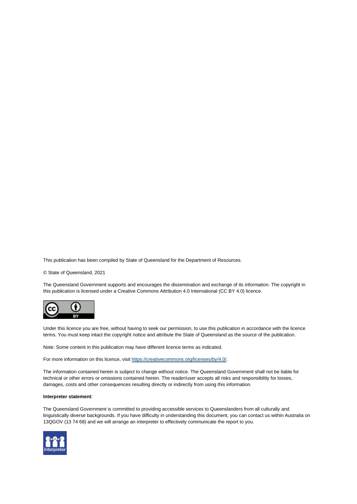This publication has been compiled by State of Queensland for the Department of Resources.

© State of Queensland, 2021

The Queensland Government supports and encourages the dissemination and exchange of its information. The copyright in this publication is licensed under a Creative Commons Attribution 4.0 International (CC BY 4.0) licence.



Under this licence you are free, without having to seek our permission, to use this publication in accordance with the licence terms. You must keep intact the copyright notice and attribute the State of Queensland as the source of the publication.

Note: Some content in this publication may have different licence terms as indicated.

For more information on this licence, visi[t https://creativecommons.org/licenses/by/4.0/.](https://creativecommons.org/licenses/by/4.0/)

The information contained herein is subject to change without notice. The Queensland Government shall not be liable for technical or other errors or omissions contained herein. The reader/user accepts all risks and responsibility for losses, damages, costs and other consequences resulting directly or indirectly from using this information.

#### **Interpreter statement**:

The Queensland Government is committed to providing accessible services to Queenslanders from all culturally and linguistically diverse backgrounds. If you have difficulty in understanding this document, you can contact us within Australia on 13QGOV (13 74 68) and we will arrange an interpreter to effectively communicate the report to you.

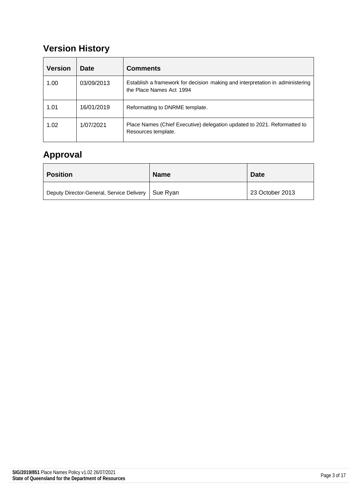## **Version History**

| <b>Version</b> | <b>Date</b> | <b>Comments</b>                                                                                           |
|----------------|-------------|-----------------------------------------------------------------------------------------------------------|
| 1.00           | 03/09/2013  | Establish a framework for decision making and interpretation in administering<br>the Place Names Act 1994 |
| 1.01           | 16/01/2019  | Reformatting to DNRME template.                                                                           |
| 1.02           | 1/07/2021   | Place Names (Chief Executive) delegation updated to 2021. Reformatted to<br>Resources template.           |

## **Approval**

| <b>Position</b>                                      | <b>Name</b> | <b>Date</b>     |
|------------------------------------------------------|-------------|-----------------|
| Deputy Director-General, Service Delivery   Sue Ryan |             | 23 October 2013 |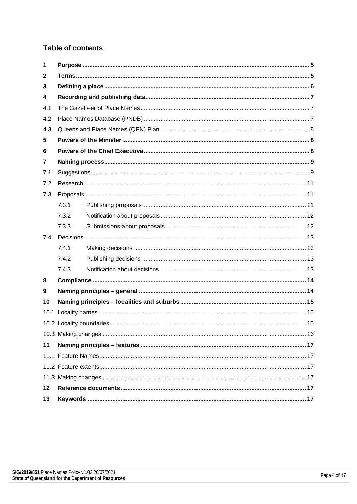#### **Table of contents**

| 1   |       |  |  |  |  |
|-----|-------|--|--|--|--|
| 2   |       |  |  |  |  |
| 3   |       |  |  |  |  |
| 4   |       |  |  |  |  |
| 4.1 |       |  |  |  |  |
| 4.2 |       |  |  |  |  |
| 4.3 |       |  |  |  |  |
| 5   |       |  |  |  |  |
| 6   |       |  |  |  |  |
| 7   |       |  |  |  |  |
| 7.1 |       |  |  |  |  |
| 7.2 |       |  |  |  |  |
| 7.3 |       |  |  |  |  |
|     | 7.3.1 |  |  |  |  |
|     | 7.3.2 |  |  |  |  |
|     | 7.3.3 |  |  |  |  |
| 7.4 |       |  |  |  |  |
|     | 7.4.1 |  |  |  |  |
|     | 7.4.2 |  |  |  |  |
|     | 7.4.3 |  |  |  |  |
| 8   |       |  |  |  |  |
| 9   |       |  |  |  |  |
| 10  |       |  |  |  |  |
|     |       |  |  |  |  |
|     |       |  |  |  |  |
|     |       |  |  |  |  |
| 11  |       |  |  |  |  |
|     |       |  |  |  |  |
|     |       |  |  |  |  |
|     |       |  |  |  |  |
| 12  |       |  |  |  |  |
| 13  |       |  |  |  |  |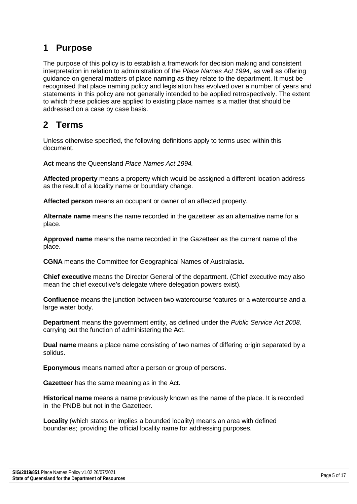### <span id="page-4-0"></span>**1 Purpose**

The purpose of this policy is to establish a framework for decision making and consistent interpretation in relation to administration of the *Place Names Act 1994*, as well as offering guidance on general matters of place naming as they relate to the department. It must be recognised that place naming policy and legislation has evolved over a number of years and statements in this policy are not generally intended to be applied retrospectively. The extent to which these policies are applied to existing place names is a matter that should be addressed on a case by case basis.

### <span id="page-4-1"></span>**2 Terms**

Unless otherwise specified, the following definitions apply to terms used within this document.

**Act** means the Queensland *Place Names Act 1994.*

**Affected property** means a property which would be assigned a different location address as the result of a locality name or boundary change.

**Affected person** means an occupant or owner of an affected property.

**Alternate name** means the name recorded in the gazetteer as an alternative name for a place.

**Approved name** means the name recorded in the Gazetteer as the current name of the place.

**CGNA** means the Committee for Geographical Names of Australasia.

**Chief executive** means the Director General of the department. (Chief executive may also mean the chief executive's delegate where delegation powers exist).

**Confluence** means the junction between two watercourse features or a watercourse and a large water body.

**Department** means the government entity, as defined under the *Public Service Act 2008,*  carrying out the function of administering the Act.

**Dual name** means a place name consisting of two names of differing origin separated by a solidus.

**Eponymous** means named after a person or group of persons.

**Gazetteer** has the same meaning as in the Act.

**Historical name** means a name previously known as the name of the place. It is recorded in the PNDB but not in the Gazetteer.

**Locality** (which states or implies a bounded locality) means an area with defined boundaries; providing the official locality name for addressing purposes.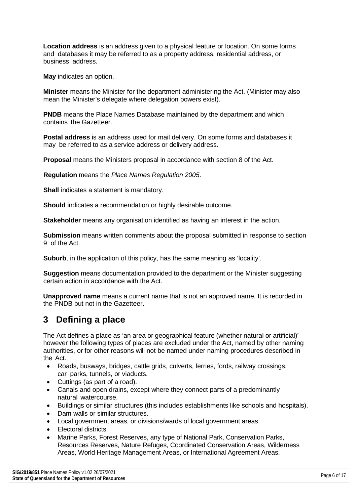**Location address** is an address given to a physical feature or location. On some forms and databases it may be referred to as a property address, residential address, or business address.

**May** indicates an option.

**Minister** means the Minister for the department administering the Act. (Minister may also mean the Minister's delegate where delegation powers exist).

**PNDB** means the Place Names Database maintained by the department and which contains the Gazetteer.

**Postal address** is an address used for mail delivery. On some forms and databases it may be referred to as a service address or delivery address.

**Proposal** means the Ministers proposal in accordance with section 8 of the Act.

**Regulation** means the *Place Names Regulation 2005*.

**Shall** indicates a statement is mandatory.

**Should** indicates a recommendation or highly desirable outcome.

**Stakeholder** means any organisation identified as having an interest in the action.

**Submission** means written comments about the proposal submitted in response to section 9 of the Act.

**Suburb**, in the application of this policy, has the same meaning as 'locality'.

**Suggestion** means documentation provided to the department or the Minister suggesting certain action in accordance with the Act.

**Unapproved name** means a current name that is not an approved name. It is recorded in the PNDB but not in the Gazetteer.

### <span id="page-5-0"></span>**3 Defining a place**

The Act defines a place as 'an area or geographical feature (whether natural or artificial)' however the following types of places are excluded under the Act, named by other naming authorities, or for other reasons will not be named under naming procedures described in the Act.

- Roads, busways, bridges, cattle grids, culverts, ferries, fords, railway crossings, car parks, tunnels, or viaducts.
- Cuttings (as part of a road).
- Canals and open drains, except where they connect parts of a predominantly natural watercourse.
- Buildings or similar structures (this includes establishments like schools and hospitals).
- Dam walls or similar structures.
- Local government areas, or divisions/wards of local government areas.
- Electoral districts.
- Marine Parks, Forest Reserves, any type of National Park, Conservation Parks, Resources Reserves, Nature Refuges, Coordinated Conservation Areas, Wilderness Areas, World Heritage Management Areas, or International Agreement Areas.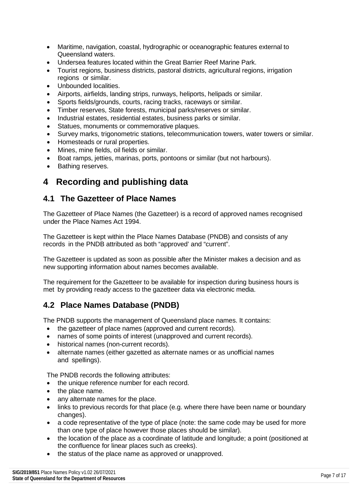- Maritime, navigation, coastal, hydrographic or oceanographic features external to Queensland waters.
- Undersea features located within the Great Barrier Reef Marine Park.
- Tourist regions, business districts, pastoral districts, agricultural regions, irrigation regions or similar.
- Unbounded localities.
- Airports, airfields, landing strips, runways, heliports, helipads or similar.
- Sports fields/grounds, courts, racing tracks, raceways or similar.
- Timber reserves, State forests, municipal parks/reserves or similar.
- Industrial estates, residential estates, business parks or similar.
- Statues, monuments or commemorative plaques.
- Survey marks, trigonometric stations, telecommunication towers, water towers or similar.
- Homesteads or rural properties.
- Mines, mine fields, oil fields or similar.
- Boat ramps, jetties, marinas, ports, pontoons or similar (but not harbours).
- Bathing reserves.

### <span id="page-6-0"></span>**4 Recording and publishing data**

#### <span id="page-6-1"></span>**4.1 The Gazetteer of Place Names**

The Gazetteer of Place Names (the Gazetteer) is a record of approved names recognised under the Place Names Act 1994.

The Gazetteer is kept within the Place Names Database (PNDB) and consists of any records in the PNDB attributed as both "approved' and "current".

The Gazetteer is updated as soon as possible after the Minister makes a decision and as new supporting information about names becomes available.

The requirement for the Gazetteer to be available for inspection during business hours is met by providing ready access to the gazetteer data via electronic media.

#### <span id="page-6-2"></span>**4.2 Place Names Database (PNDB)**

The PNDB supports the management of Queensland place names. It contains:

- the gazetteer of place names (approved and current records).
- names of some points of interest (unapproved and current records).
- historical names (non-current records).
- alternate names (either gazetted as alternate names or as unofficial names and spellings).

The PNDB records the following attributes:

- the unique reference number for each record.
- the place name.
- any alternate names for the place.
- links to previous records for that place (e.g. where there have been name or boundary changes).
- a code representative of the type of place (note: the same code may be used for more than one type of place however those places should be similar).
- the location of the place as a coordinate of latitude and longitude; a point (positioned at the confluence for linear places such as creeks).
- the status of the place name as approved or unapproved.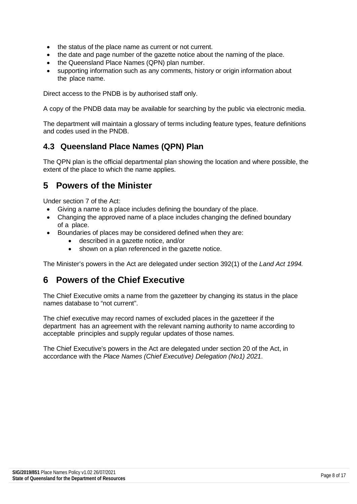- the status of the place name as current or not current.
- the date and page number of the gazette notice about the naming of the place.
- the Queensland Place Names (QPN) plan number.
- supporting information such as any comments, history or origin information about the place name.

Direct access to the PNDB is by authorised staff only.

A copy of the PNDB data may be available for searching by the public via electronic media.

The department will maintain a glossary of terms including feature types, feature definitions and codes used in the PNDB.

#### <span id="page-7-0"></span>**4.3 Queensland Place Names (QPN) Plan**

The QPN plan is the official departmental plan showing the location and where possible, the extent of the place to which the name applies.

### <span id="page-7-1"></span>**5 Powers of the Minister**

Under section 7 of the Act:

- Giving a name to a place includes defining the boundary of the place.
- Changing the approved name of a place includes changing the defined boundary of a place.
- Boundaries of places may be considered defined when they are:
	- described in a gazette notice, and/or
	- shown on a plan referenced in the gazette notice.

The Minister's powers in the Act are delegated under section 392(1) of the *Land Act 1994.*

#### <span id="page-7-2"></span>**6 Powers of the Chief Executive**

The Chief Executive omits a name from the gazetteer by changing its status in the place names database to "not current".

The chief executive may record names of excluded places in the gazetteer if the department has an agreement with the relevant naming authority to name according to acceptable principles and supply regular updates of those names.

The Chief Executive's powers in the Act are delegated under section 20 of the Act, in accordance with the *Place Names (Chief Executive) Delegation (No1) 2021*.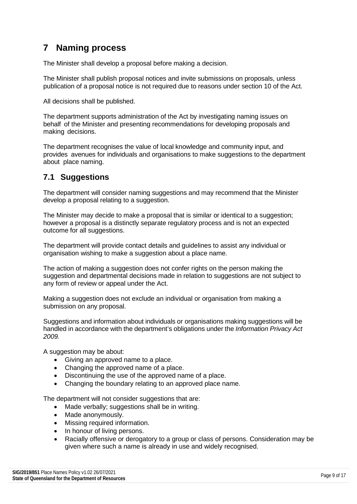### <span id="page-8-0"></span>**7 Naming process**

The Minister shall develop a proposal before making a decision.

The Minister shall publish proposal notices and invite submissions on proposals, unless publication of a proposal notice is not required due to reasons under section 10 of the Act.

All decisions shall be published.

The department supports administration of the Act by investigating naming issues on behalf of the Minister and presenting recommendations for developing proposals and making decisions.

The department recognises the value of local knowledge and community input, and provides avenues for individuals and organisations to make suggestions to the department about place naming.

#### <span id="page-8-1"></span>**7.1 Suggestions**

The department will consider naming suggestions and may recommend that the Minister develop a proposal relating to a suggestion.

The Minister may decide to make a proposal that is similar or identical to a suggestion; however a proposal is a distinctly separate regulatory process and is not an expected outcome for all suggestions.

The department will provide contact details and guidelines to assist any individual or organisation wishing to make a suggestion about a place name.

The action of making a suggestion does not confer rights on the person making the suggestion and departmental decisions made in relation to suggestions are not subject to any form of review or appeal under the Act.

Making a suggestion does not exclude an individual or organisation from making a submission on any proposal.

Suggestions and information about individuals or organisations making suggestions will be handled in accordance with the department's obligations under the *Information Privacy Act 2009.*

A suggestion may be about:

- Giving an approved name to a place.
- Changing the approved name of a place.
- Discontinuing the use of the approved name of a place.
- Changing the boundary relating to an approved place name.

The department will not consider suggestions that are:

- Made verbally; suggestions shall be in writing.
- Made anonymously.
- Missing required information.
- In honour of living persons.
- Racially offensive or derogatory to a group or class of persons. Consideration may be given where such a name is already in use and widely recognised.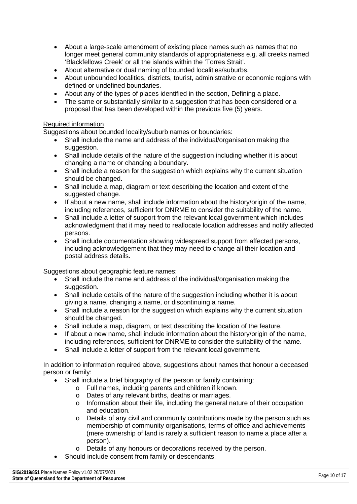- About a large-scale amendment of existing place names such as names that no longer meet general community standards of appropriateness e.g. all creeks named 'Blackfellows Creek' or all the islands within the 'Torres Strait'.
- About alternative or dual naming of bounded localities/suburbs.
- About unbounded localities, districts, tourist, administrative or economic regions with defined or undefined boundaries.
- About any of the types of places identified in the section, Defining a place.
- The same or substantially similar to a suggestion that has been considered or a proposal that has been developed within the previous five (5) years.

#### Required information

Suggestions about bounded locality/suburb names or boundaries:

- Shall include the name and address of the individual/organisation making the suggestion.
- Shall include details of the nature of the suggestion including whether it is about changing a name or changing a boundary.
- Shall include a reason for the suggestion which explains why the current situation should be changed.
- Shall include a map, diagram or text describing the location and extent of the suggested change.
- If about a new name, shall include information about the history/origin of the name, including references, sufficient for DNRME to consider the suitability of the name.
- Shall include a letter of support from the relevant local government which includes acknowledgment that it may need to reallocate location addresses and notify affected persons.
- Shall include documentation showing widespread support from affected persons, including acknowledgement that they may need to change all their location and postal address details.

Suggestions about geographic feature names:

- Shall include the name and address of the individual/organisation making the suggestion.
- Shall include details of the nature of the suggestion including whether it is about giving a name, changing a name, or discontinuing a name.
- Shall include a reason for the suggestion which explains why the current situation should be changed.
- Shall include a map, diagram, or text describing the location of the feature.
- If about a new name, shall include information about the history/origin of the name, including references, sufficient for DNRME to consider the suitability of the name.
- Shall include a letter of support from the relevant local government.

In addition to information required above, suggestions about names that honour a deceased person or family:

- Shall include a brief biography of the person or family containing:
	- o Full names, including parents and children if known.
	- o Dates of any relevant births, deaths or marriages.
	- $\circ$  Information about their life, including the general nature of their occupation and education.
	- o Details of any civil and community contributions made by the person such as membership of community organisations, terms of office and achievements (mere ownership of land is rarely a sufficient reason to name a place after a person).
	- o Details of any honours or decorations received by the person.
- Should include consent from family or descendants.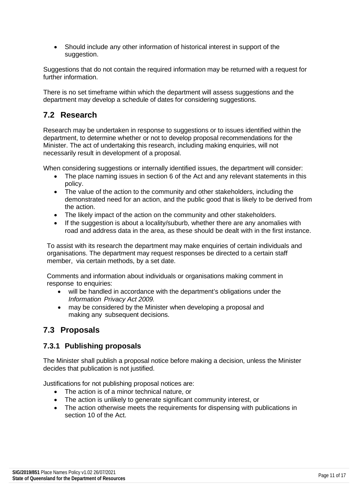• Should include any other information of historical interest in support of the suggestion.

Suggestions that do not contain the required information may be returned with a request for further information.

There is no set timeframe within which the department will assess suggestions and the department may develop a schedule of dates for considering suggestions.

### <span id="page-10-0"></span>**7.2 Research**

Research may be undertaken in response to suggestions or to issues identified within the department, to determine whether or not to develop proposal recommendations for the Minister. The act of undertaking this research, including making enquiries, will not necessarily result in development of a proposal.

When considering suggestions or internally identified issues, the department will consider:

- The place naming issues in section 6 of the Act and any relevant statements in this policy.
- The value of the action to the community and other stakeholders, including the demonstrated need for an action, and the public good that is likely to be derived from the action.
- The likely impact of the action on the community and other stakeholders.
- If the suggestion is about a locality/suburb, whether there are any anomalies with road and address data in the area, as these should be dealt with in the first instance.

To assist with its research the department may make enquiries of certain individuals and organisations. The department may request responses be directed to a certain staff member, via certain methods, by a set date.

Comments and information about individuals or organisations making comment in response to enquiries:

- will be handled in accordance with the department's obligations under the *Information Privacy Act 2009.*
- may be considered by the Minister when developing a proposal and making any subsequent decisions.

#### <span id="page-10-1"></span>**7.3 Proposals**

#### <span id="page-10-2"></span>**7.3.1 Publishing proposals**

The Minister shall publish a proposal notice before making a decision, unless the Minister decides that publication is not justified.

Justifications for not publishing proposal notices are:

- The action is of a minor technical nature, or
- The action is unlikely to generate significant community interest, or
- The action otherwise meets the requirements for dispensing with publications in section 10 of the Act.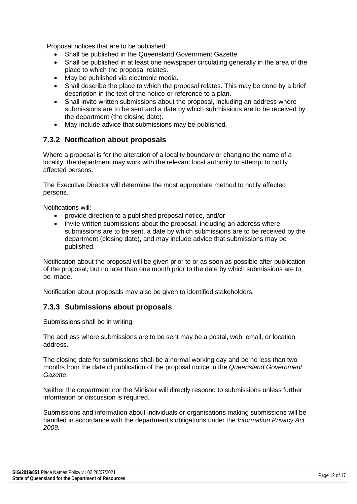Proposal notices that are to be published:

- Shall be published in the Queensland Government Gazette.
- Shall be published in at least one newspaper circulating generally in the area of the place to which the proposal relates.
- May be published via electronic media.
- Shall describe the place to which the proposal relates. This may be done by a brief description in the text of the notice or reference to a plan.
- Shall invite written submissions about the proposal, including an address where submissions are to be sent and a date by which submissions are to be received by the department (the closing date).
- May include advice that submissions may be published.

#### <span id="page-11-0"></span>**7.3.2 Notification about proposals**

Where a proposal is for the alteration of a locality boundary or changing the name of a locality, the department may work with the relevant local authority to attempt to notify affected persons.

The Executive Director will determine the most appropriate method to notify affected persons.

Notifications will:

- provide direction to a published proposal notice, and/or
- invite written submissions about the proposal, including an address where submissions are to be sent, a date by which submissions are to be received by the department (closing date), and may include advice that submissions may be published.

Notification about the proposal will be given prior to or as soon as possible after publication of the proposal, but no later than one month prior to the date by which submissions are to be made.

Notification about proposals may also be given to identified stakeholders.

#### <span id="page-11-1"></span>**7.3.3 Submissions about proposals**

Submissions shall be in writing.

The address where submissions are to be sent may be a postal, web, email, or location address.

The closing date for submissions shall be a normal working day and be no less than two months from the date of publication of the proposal notice in the *Queensland Government Gazette*.

Neither the department nor the Minister will directly respond to submissions unless further information or discussion is required.

Submissions and information about individuals or organisations making submissions will be handled in accordance with the department's obligations under the *Information Privacy Act 2009.*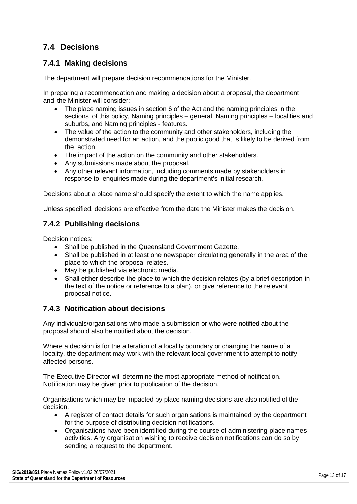### <span id="page-12-0"></span>**7.4 Decisions**

#### <span id="page-12-1"></span>**7.4.1 Making decisions**

The department will prepare decision recommendations for the Minister.

In preparing a recommendation and making a decision about a proposal, the department and the Minister will consider:

- The place naming issues in section 6 of the Act and the naming principles in the sections of this policy, Naming principles – general, Naming principles – localities and suburbs, and Naming principles - features.
- The value of the action to the community and other stakeholders, including the demonstrated need for an action, and the public good that is likely to be derived from the action.
- The impact of the action on the community and other stakeholders.
- Any submissions made about the proposal.
- Any other relevant information, including comments made by stakeholders in response to enquiries made during the department's initial research.

Decisions about a place name should specify the extent to which the name applies.

Unless specified, decisions are effective from the date the Minister makes the decision.

#### <span id="page-12-2"></span>**7.4.2 Publishing decisions**

Decision notices:

- Shall be published in the Queensland Government Gazette.
- Shall be published in at least one newspaper circulating generally in the area of the place to which the proposal relates.
- May be published via electronic media.
- Shall either describe the place to which the decision relates (by a brief description in the text of the notice or reference to a plan), or give reference to the relevant proposal notice.

#### <span id="page-12-3"></span>**7.4.3 Notification about decisions**

Any individuals/organisations who made a submission or who were notified about the proposal should also be notified about the decision.

Where a decision is for the alteration of a locality boundary or changing the name of a locality, the department may work with the relevant local government to attempt to notify affected persons.

The Executive Director will determine the most appropriate method of notification. Notification may be given prior to publication of the decision.

Organisations which may be impacted by place naming decisions are also notified of the decision.

- A register of contact details for such organisations is maintained by the department for the purpose of distributing decision notifications.
- Organisations have been identified during the course of administering place names activities. Any organisation wishing to receive decision notifications can do so by sending a request to the department.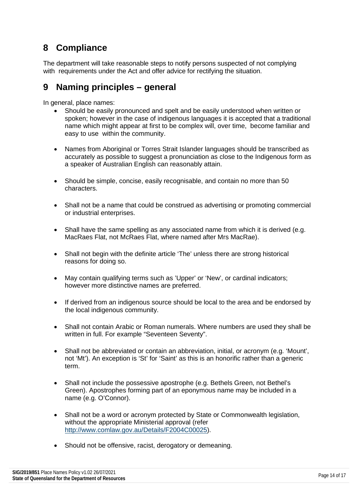### <span id="page-13-0"></span>**8 Compliance**

The department will take reasonable steps to notify persons suspected of not complying with requirements under the Act and offer advice for rectifying the situation.

### <span id="page-13-1"></span>**9 Naming principles – general**

In general, place names:

- Should be easily pronounced and spelt and be easily understood when written or spoken; however in the case of indigenous languages it is accepted that a traditional name which might appear at first to be complex will, over time, become familiar and easy to use within the community.
- Names from Aboriginal or Torres Strait Islander languages should be transcribed as accurately as possible to suggest a pronunciation as close to the Indigenous form as a speaker of Australian English can reasonably attain.
- Should be simple, concise, easily recognisable, and contain no more than 50 characters.
- Shall not be a name that could be construed as advertising or promoting commercial or industrial enterprises.
- Shall have the same spelling as any associated name from which it is derived (e.g. MacRaes Flat, not McRaes Flat, where named after Mrs MacRae).
- Shall not begin with the definite article 'The' unless there are strong historical reasons for doing so.
- May contain qualifying terms such as 'Upper' or 'New', or cardinal indicators; however more distinctive names are preferred.
- If derived from an indigenous source should be local to the area and be endorsed by the local indigenous community.
- Shall not contain Arabic or Roman numerals. Where numbers are used they shall be written in full. For example "Seventeen Seventy".
- Shall not be abbreviated or contain an abbreviation, initial, or acronym (e.g. 'Mount', not 'Mt'). An exception is 'St' for 'Saint' as this is an honorific rather than a generic term.
- Shall not include the possessive apostrophe (e.g. Bethels Green, not Bethel's Green). Apostrophes forming part of an eponymous name may be included in a name (e.g. O'Connor).
- Shall not be a word or acronym protected by State or Commonwealth legislation, without the appropriate Ministerial approval (refer [http://www.comlaw.gov.au/Details/F2004C00025\)](http://www.comlaw.gov.au/Details/F2004C00025).
- Should not be offensive, racist, derogatory or demeaning.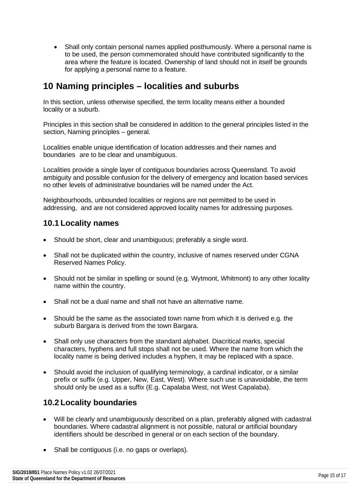• Shall only contain personal names applied posthumously. Where a personal name is to be used, the person commemorated should have contributed significantly to the area where the feature is located. Ownership of land should not in itself be grounds for applying a personal name to a feature.

### <span id="page-14-0"></span>**10 Naming principles – localities and suburbs**

In this section, unless otherwise specified, the term locality means either a bounded locality or a suburb.

Principles in this section shall be considered in addition to the general principles listed in the section, Naming principles – general.

Localities enable unique identification of location addresses and their names and boundaries are to be clear and unambiguous.

Localities provide a single layer of contiguous boundaries across Queensland. To avoid ambiguity and possible confusion for the delivery of emergency and location based services no other levels of administrative boundaries will be named under the Act.

Neighbourhoods, unbounded localities or regions are not permitted to be used in addressing, and are not considered approved locality names for addressing purposes.

#### <span id="page-14-1"></span>**10.1 Locality names**

- Should be short, clear and unambiguous; preferably a single word.
- Shall not be duplicated within the country, inclusive of names reserved under CGNA Reserved Names Policy.
- Should not be similar in spelling or sound (e.g. Wytmont, Whitmont) to any other locality name within the country.
- Shall not be a dual name and shall not have an alternative name.
- Should be the same as the associated town name from which it is derived e.g. the suburb Bargara is derived from the town Bargara.
- Shall only use characters from the standard alphabet. Diacritical marks, special characters, hyphens and full stops shall not be used. Where the name from which the locality name is being derived includes a hyphen, it may be replaced with a space.
- Should avoid the inclusion of qualifying terminology, a cardinal indicator, or a similar prefix or suffix (e.g. Upper, New, East, West). Where such use is unavoidable, the term should only be used as a suffix (E.g. Capalaba West, not West Capalaba).

#### <span id="page-14-2"></span>**10.2 Locality boundaries**

- Will be clearly and unambiguously described on a plan, preferably aligned with cadastral boundaries. Where cadastral alignment is not possible, natural or artificial boundary identifiers should be described in general or on each section of the boundary.
- Shall be contiguous (i.e. no gaps or overlaps).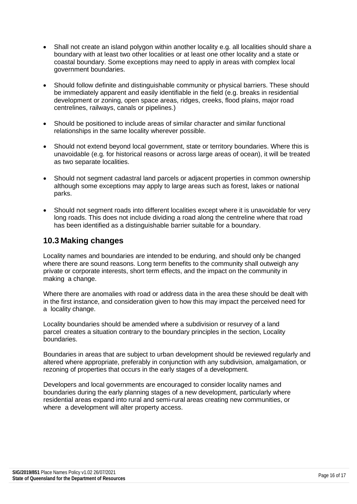- Shall not create an island polygon within another locality e.g. all localities should share a boundary with at least two other localities or at least one other locality and a state or coastal boundary. Some exceptions may need to apply in areas with complex local government boundaries.
- Should follow definite and distinguishable community or physical barriers. These should be immediately apparent and easily identifiable in the field (e.g. breaks in residential development or zoning, open space areas, ridges, creeks, flood plains, major road centrelines, railways, canals or pipelines.)
- Should be positioned to include areas of similar character and similar functional relationships in the same locality wherever possible.
- Should not extend beyond local government, state or territory boundaries. Where this is unavoidable (e.g. for historical reasons or across large areas of ocean), it will be treated as two separate localities.
- Should not segment cadastral land parcels or adjacent properties in common ownership although some exceptions may apply to large areas such as forest, lakes or national parks.
- Should not segment roads into different localities except where it is unavoidable for very long roads. This does not include dividing a road along the centreline where that road has been identified as a distinguishable barrier suitable for a boundary.

#### <span id="page-15-0"></span>**10.3 Making changes**

Locality names and boundaries are intended to be enduring, and should only be changed where there are sound reasons. Long term benefits to the community shall outweigh any private or corporate interests, short term effects, and the impact on the community in making a change.

Where there are anomalies with road or address data in the area these should be dealt with in the first instance, and consideration given to how this may impact the perceived need for a locality change.

Locality boundaries should be amended where a subdivision or resurvey of a land parcel creates a situation contrary to the boundary principles in the section, Locality boundaries.

Boundaries in areas that are subject to urban development should be reviewed regularly and altered where appropriate, preferably in conjunction with any subdivision, amalgamation, or rezoning of properties that occurs in the early stages of a development.

Developers and local governments are encouraged to consider locality names and boundaries during the early planning stages of a new development, particularly where residential areas expand into rural and semi-rural areas creating new communities, or where a development will alter property access.